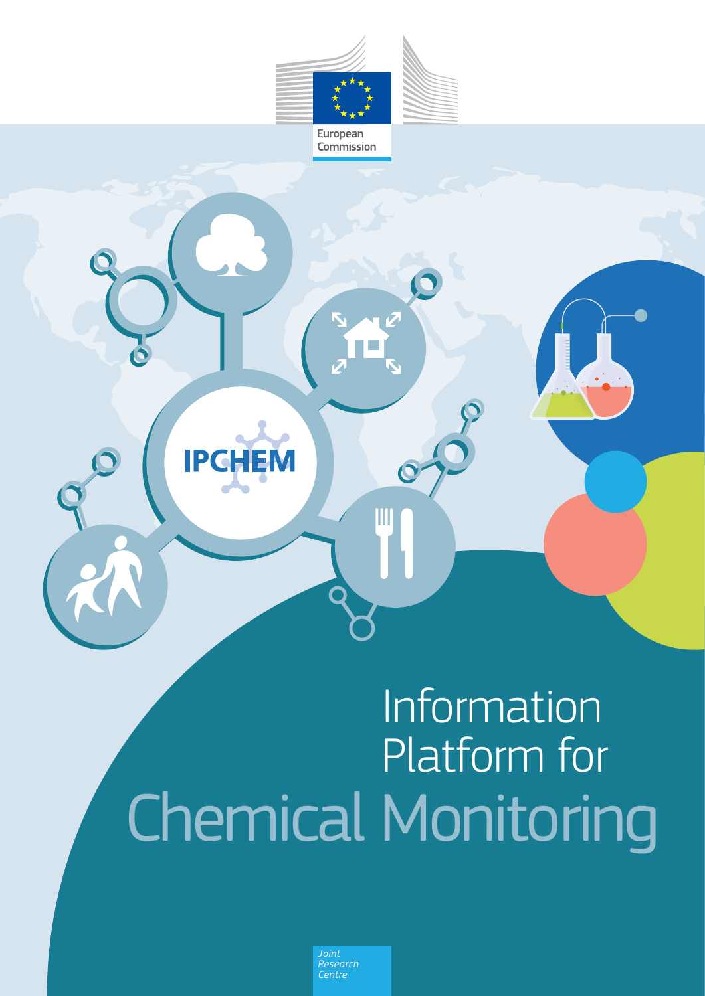

Commission



# Information Platform for Chemical Monitoring

*Joint Research Centre*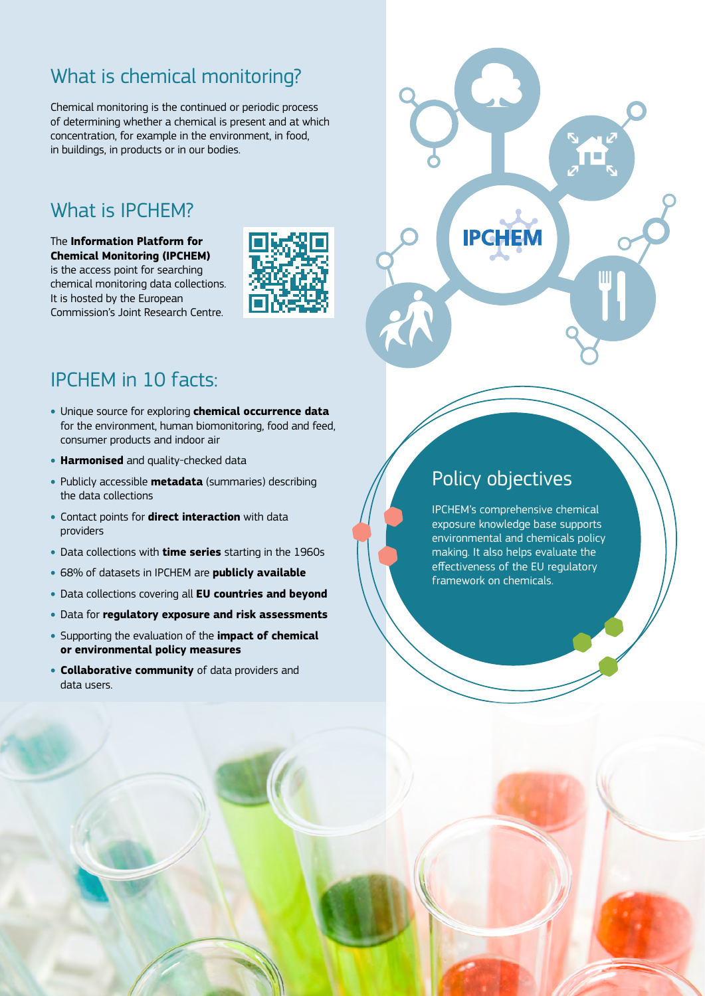# What is chemical monitoring?

Chemical monitoring is the continued or periodic process of determining whether a chemical is present and at which concentration, for example in the environment, in food, in buildings, in products or in our bodies.

## What is IPCHEM?

The **Information Platform for Chemical Monitoring (IPCHEM)**  is the access point for searching chemical monitoring data collections. It is hosted by the European

Commission's Joint Research Centre.



## IPCHEM in 10 facts:

- Unique source for exploring **chemical occurrence data**  for the environment, human biomonitoring, food and feed, consumer products and indoor air
- **Harmonised** and quality-checked data
- Publicly accessible **metadata** (summaries) describing the data collections
- Contact points for **direct interaction** with data providers
- Data collections with **time series** starting in the 1960s
- 68% of datasets in IPCHEM are **publicly available**
- Data collections covering all **EU countries and beyond**
- Data for **regulatory exposure and risk assessments**
- Supporting the evaluation of the **impact of chemical or environmental policy measures**
- **Collaborative community** of data providers and data users.

## Policy objectives

IPCHEM's comprehensive chemical exposure knowledge base supports environmental and chemicals policy making. It also helps evaluate the effectiveness of the EU regulatory framework on chemicals.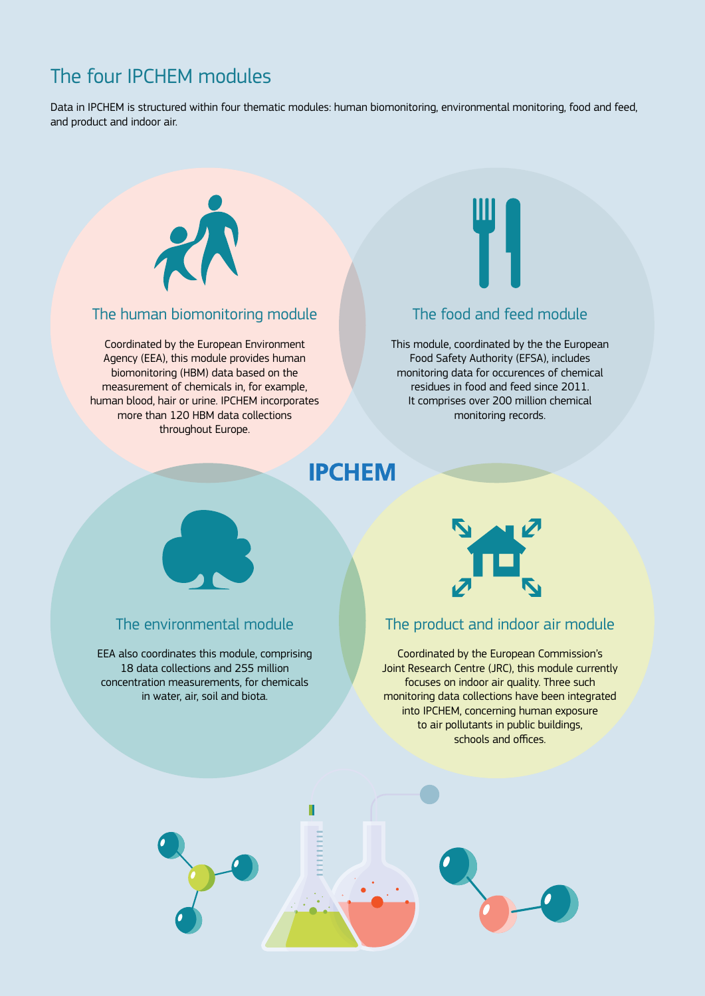# The four IPCHEM modules

Data in IPCHEM is structured within four thematic modules: human biomonitoring, environmental monitoring, food and feed, and product and indoor air.



#### The human biomonitoring module

Coordinated by the European Environment Agency (EEA), this module provides human biomonitoring (HBM) data based on the measurement of chemicals in, for example, human blood, hair or urine. IPCHEM incorporates more than 120 HBM data collections throughout Europe.



#### The food and feed module

This module, coordinated by the the European Food Safety Authority (EFSA), includes monitoring data for occurences of chemical residues in food and feed since 2011. It comprises over 200 million chemical monitoring records.

# **IPCHEM**



#### The environmental module

EEA also coordinates this module, comprising 18 data collections and 255 million concentration measurements, for chemicals in water, air, soil and biota.



#### The product and indoor air module

Coordinated by the European Commission's Joint Research Centre (JRC), this module currently focuses on indoor air quality. Three such monitoring data collections have been integrated into IPCHEM, concerning human exposure to air pollutants in public buildings, schools and offices.

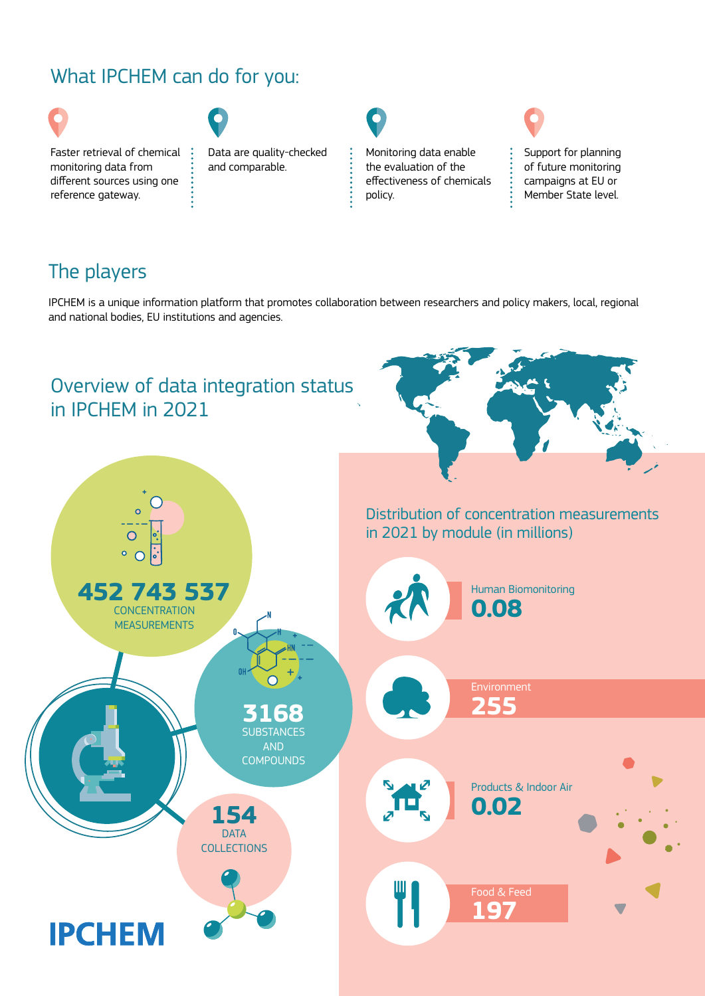# What IPCHEM can do for you:

 $\ddot{\cdot}$ 



Faster retrieval of chemical : monitoring data from different sources using one reference gateway.



Data are quality-checked and comparable.

Monitoring data enable the evaluation of the effectiveness of chemicals policy.



Support for planning of future monitoring campaigns at EU or Member State level.

# The players

IPCHEM is a unique information platform that promotes collaboration between researchers and policy makers, local, regional and national bodies, EU institutions and agencies.

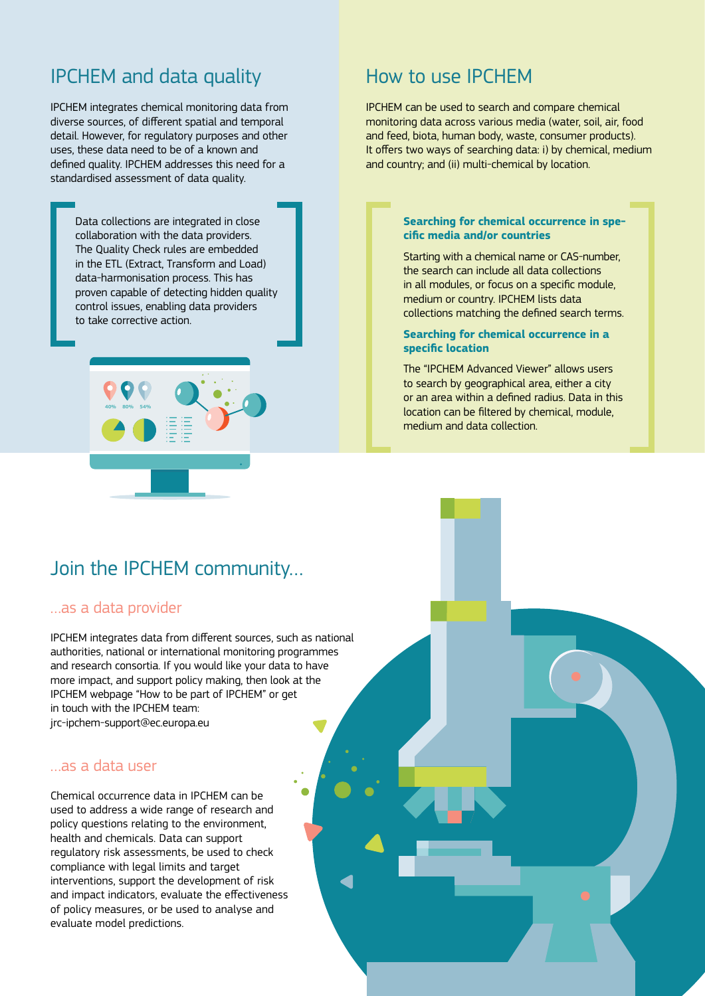## IPCHEM and data quality

IPCHEM integrates chemical monitoring data from diverse sources, of different spatial and temporal detail. However, for regulatory purposes and other uses, these data need to be of a known and defined quality. IPCHEM addresses this need for a standardised assessment of data quality.

> Data collections are integrated in close collaboration with the data providers. The Quality Check rules are embedded in the ETL (Extract, Transform and Load) data-harmonisation process. This has proven capable of detecting hidden quality control issues, enabling data providers to take corrective action.



## How to use IPCHEM

IPCHEM can be used to search and compare chemical monitoring data across various media (water, soil, air, food and feed, biota, human body, waste, consumer products). It offers two ways of searching data: i) by chemical, medium and country; and (ii) multi-chemical by location.

#### **Searching for chemical occurrence in specific media and/or countries**

Starting with a chemical name or CAS-number, the search can include all data collections in all modules, or focus on a specific module, medium or country. IPCHEM lists data collections matching the defined search terms.

#### **Searching for chemical occurrence in a specific location**

The "IPCHEM Advanced Viewer" allows users to search by geographical area, either a city or an area within a defined radius. Data in this location can be filtered by chemical, module, medium and data collection.

### Join the IPCHEM community…

#### …as a data provider

IPCHEM integrates data from different sources, such as national authorities, national or international monitoring programmes and research consortia. If you would like your data to have more impact, and support policy making, then look at the IPCHEM webpage "How to be part of IPCHEM" or get in touch with the IPCHEM team: [jrc-ipchem-support@ec.europa.eu](mailto:jrc-ipchem-support%40ec.europa.eu?subject=)

#### …as a data user

Chemical occurrence data in IPCHEM can be used to address a wide range of research and policy questions relating to the environment, health and chemicals. Data can support regulatory risk assessments, be used to check compliance with legal limits and target interventions, support the development of risk and impact indicators, evaluate the effectiveness of policy measures, or be used to analyse and evaluate model predictions.